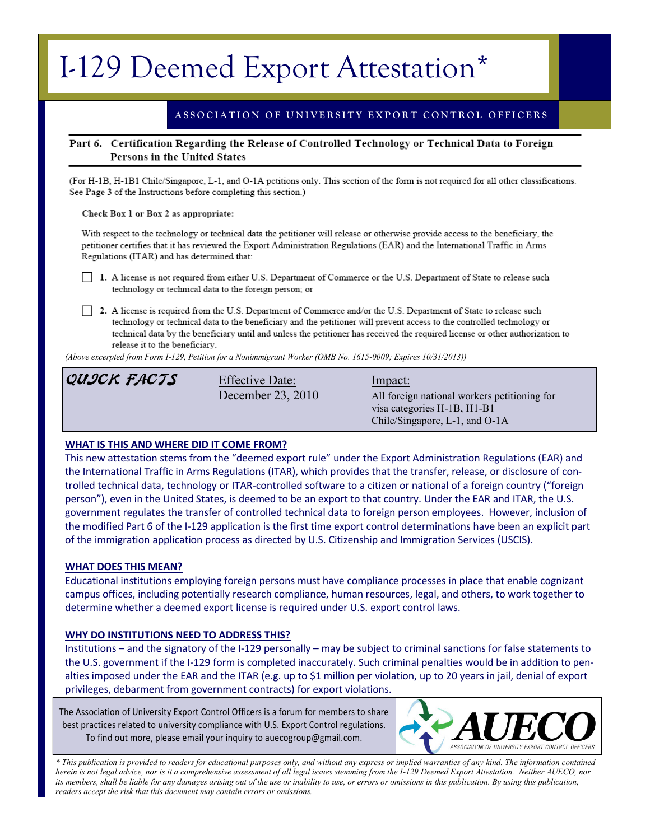# I-129 Deemed Export Attestation\*

# **A S S O C I A T I O N O F U N I V E R S I T Y E X P O R T C O N T R O L O F F I C E R S**

# Part 6. Certification Regarding the Release of Controlled Technology or Technical Data to Foreign Persons in the United States

(For H-1B, H-1B1 Chile/Singapore, L-1, and O-1A petitions only. This section of the form is not required for all other classifications. See Page 3 of the Instructions before completing this section.)

#### Check Box 1 or Box 2 as appropriate:

With respect to the technology or technical data the petitioner will release or otherwise provide access to the beneficiary, the petitioner certifies that it has reviewed the Export Administration Regulations (EAR) and the International Traffic in Arms Regulations (ITAR) and has determined that:

1. A license is not required from either U.S. Department of Commerce or the U.S. Department of State to release such technology or technical data to the foreign person; or

2. A license is required from the U.S. Department of Commerce and/or the U.S. Department of State to release such technology or technical data to the beneficiary and the petitioner will prevent access to the controlled technology or technical data by the beneficiary until and unless the petitioner has received the required license or other authorization to release it to the beneficiary.

*(Above excerpted from Form I-129, Petition for a Nonimmigrant Worker (OMB No. 1615-0009; Expires 10/31/2013))*

# QUICK FACTS Effective Date: Impact:

December 23, 2010 All foreign national workers petitioning for visa categories H-1B, H1-B1 Chile/Singapore, L-1, and O-1A

# **WHAT IS THIS AND WHERE DID IT COME FROM?**

This new attestation stems from the "deemed export rule" under the Export Administration Regulations (EAR) and the International Traffic in Arms Regulations (ITAR), which provides that the transfer, release, or disclosure of controlled technical data, technology or ITAR-controlled software to a citizen or national of a foreign country ("foreign person"), even in the United States, is deemed to be an export to that country. Under the EAR and ITAR, the U.S. government regulates the transfer of controlled technical data to foreign person employees. However, inclusion of the modified Part 6 of the I-129 application is the first time export control determinations have been an explicit part of the immigration application process as directed by U.S. Citizenship and Immigration Services (USCIS).

# **WHAT DOES THIS MEAN?**

Educational institutions employing foreign persons must have compliance processes in place that enable cognizant campus offices, including potentially research compliance, human resources, legal, and others, to work together to determine whether a deemed export license is required under U.S. export control laws.

# **WHY DO INSTITUTIONS NEED TO ADDRESS THIS?**

Institutions – and the signatory of the I-129 personally – may be subject to criminal sanctions for false statements to the U.S. government if the I-129 form is completed inaccurately. Such criminal penalties would be in addition to penalties imposed under the EAR and the ITAR (e.g. up to \$1 million per violation, up to 20 years in jail, denial of export privileges, debarment from government contracts) for export violations.

The Association of University Export Control Officers is a forum for members to share best practices related to university compliance with U.S. Export Control regulations. To find out more, please email your inquiry to auecogroup@gmail.com.



*\* This publication is provided to readers for educational purposes only, and without any express or implied warranties of any kind. The information contained herein is not legal advice, nor is it a comprehensive assessment of all legal issues stemming from the I-129 Deemed Export Attestation. Neither AUECO, nor*  its members, shall be liable for any damages arising out of the use or inability to use, or errors or omissions in this publication. By using this publication, *readers accept the risk that this document may contain errors or omissions.*